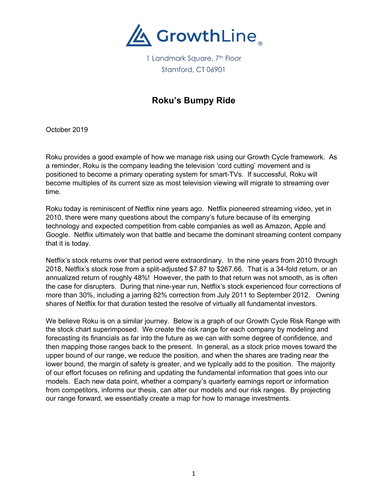

1 Landmark Square, 7<sup>th</sup> Floor Stamford, CT 06901

## **Roku's Bumpy Ride**

October 2019

Roku provides a good example of how we manage risk using our Growth Cycle framework. As a reminder, Roku is the company leading the television 'cord cutting' movement and is positioned to become a primary operating system for smart-TVs. If successful, Roku will become multiples of its current size as most television viewing will migrate to streaming over time.

Roku today is reminiscent of Netflix nine years ago. Netflix pioneered streaming video, yet in 2010, there were many questions about the company's future because of its emerging technology and expected competition from cable companies as well as Amazon, Apple and Google. Netflix ultimately won that battle and became the dominant streaming content company that it is today.

Netflix's stock returns over that period were extraordinary. In the nine years from 2010 through 2018, Netflix's stock rose from a split-adjusted \$7.87 to \$267.66. That is a 34-fold return, or an annualized return of roughly 48%! However, the path to that return was not smooth, as is often the case for disrupters. During that nine-year run, Netflix's stock experienced four corrections of more than 30%, including a jarring 82% correction from July 2011 to September 2012. Owning shares of Netflix for that duration tested the resolve of virtually all fundamental investors.

We believe Roku is on a similar journey. Below is a graph of our Growth Cycle Risk Range with the stock chart superimposed. We create the risk range for each company by modeling and forecasting its financials as far into the future as we can with some degree of confidence, and then mapping those ranges back to the present. In general, as a stock price moves toward the upper bound of our range, we reduce the position, and when the shares are trading near the lower bound, the margin of safety is greater, and we typically add to the position. The majority of our effort focuses on refining and updating the fundamental information that goes into our models. Each new data point, whether a company's quarterly earnings report or information from competitors, informs our thesis, can alter our models and our risk ranges. By projecting our range forward, we essentially create a map for how to manage investments.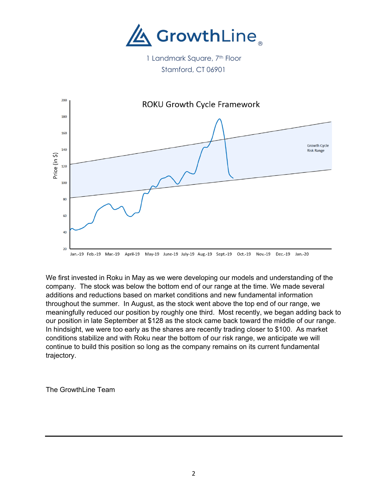

1 Landmark Square, 7<sup>th</sup> Floor Stamford, CT 06901



We first invested in Roku in May as we were developing our models and understanding of the company. The stock was below the bottom end of our range at the time. We made several additions and reductions based on market conditions and new fundamental information throughout the summer. In August, as the stock went above the top end of our range, we meaningfully reduced our position by roughly one third. Most recently, we began adding back to our position in late September at \$128 as the stock came back toward the middle of our range. In hindsight, we were too early as the shares are recently trading closer to \$100. As market conditions stabilize and with Roku near the bottom of our risk range, we anticipate we will continue to build this position so long as the company remains on its current fundamental trajectory.

The GrowthLine Team